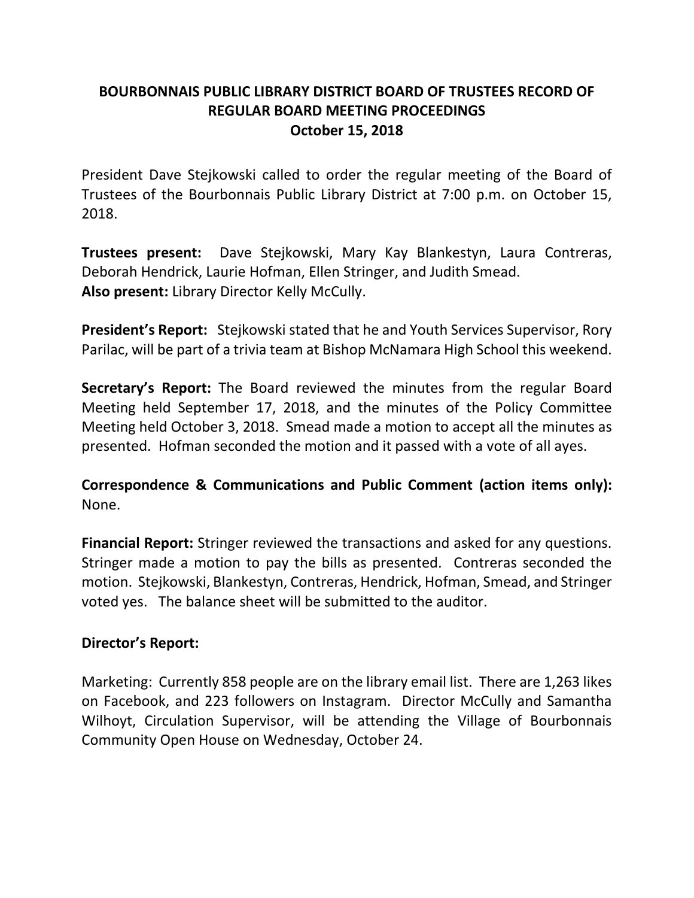## **BOURBONNAIS PUBLIC LIBRARY DISTRICT BOARD OF TRUSTEES RECORD OF REGULAR BOARD MEETING PROCEEDINGS October 15, 2018**

President Dave Stejkowski called to order the regular meeting of the Board of Trustees of the Bourbonnais Public Library District at 7:00 p.m. on October 15, 2018.

**Trustees present:** Dave Stejkowski, Mary Kay Blankestyn, Laura Contreras, Deborah Hendrick, Laurie Hofman, Ellen Stringer, and Judith Smead. **Also present:** Library Director Kelly McCully.

**President's Report:** Stejkowski stated that he and Youth Services Supervisor, Rory Parilac, will be part of a trivia team at Bishop McNamara High School this weekend.

**Secretary's Report:** The Board reviewed the minutes from the regular Board Meeting held September 17, 2018, and the minutes of the Policy Committee Meeting held October 3, 2018. Smead made a motion to accept all the minutes as presented. Hofman seconded the motion and it passed with a vote of all ayes.

**Correspondence & Communications and Public Comment (action items only):** None.

**Financial Report:** Stringer reviewed the transactions and asked for any questions. Stringer made a motion to pay the bills as presented. Contreras seconded the motion. Stejkowski, Blankestyn, Contreras, Hendrick, Hofman, Smead, and Stringer voted yes. The balance sheet will be submitted to the auditor.

## **Director's Report:**

Marketing: Currently 858 people are on the library email list. There are 1,263 likes on Facebook, and 223 followers on Instagram. Director McCully and Samantha Wilhoyt, Circulation Supervisor, will be attending the Village of Bourbonnais Community Open House on Wednesday, October 24.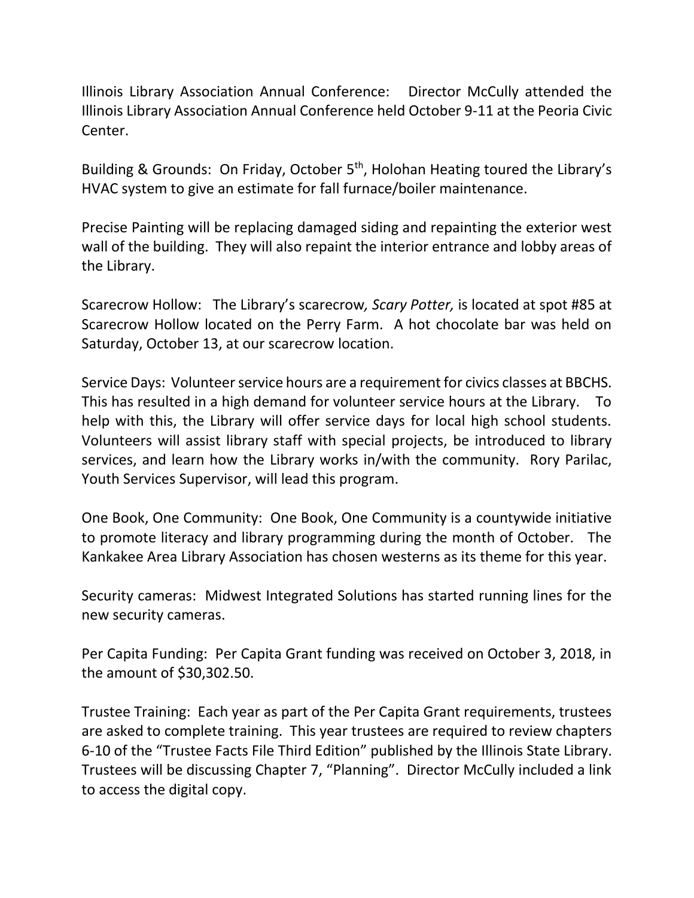Illinois Library Association Annual Conference: Director McCully attended the Illinois Library Association Annual Conference held October 9-11 at the Peoria Civic Center.

Building & Grounds: On Friday, October 5<sup>th</sup>, Holohan Heating toured the Library's HVAC system to give an estimate for fall furnace/boiler maintenance.

Precise Painting will be replacing damaged siding and repainting the exterior west wall of the building. They will also repaint the interior entrance and lobby areas of the Library.

Scarecrow Hollow: The Library's scarecrow*, Scary Potter,* is located at spot #85 at Scarecrow Hollow located on the Perry Farm. A hot chocolate bar was held on Saturday, October 13, at our scarecrow location.

Service Days: Volunteer service hours are a requirement for civics classes at BBCHS. This has resulted in a high demand for volunteer service hours at the Library. To help with this, the Library will offer service days for local high school students. Volunteers will assist library staff with special projects, be introduced to library services, and learn how the Library works in/with the community. Rory Parilac, Youth Services Supervisor, will lead this program.

One Book, One Community: One Book, One Community is a countywide initiative to promote literacy and library programming during the month of October. The Kankakee Area Library Association has chosen westerns as its theme for this year.

Security cameras: Midwest Integrated Solutions has started running lines for the new security cameras.

Per Capita Funding: Per Capita Grant funding was received on October 3, 2018, in the amount of \$30,302.50.

Trustee Training: Each year as part of the Per Capita Grant requirements, trustees are asked to complete training. This year trustees are required to review chapters 6-10 of the "Trustee Facts File Third Edition" published by the Illinois State Library. Trustees will be discussing Chapter 7, "Planning". Director McCully included a link to access the digital copy.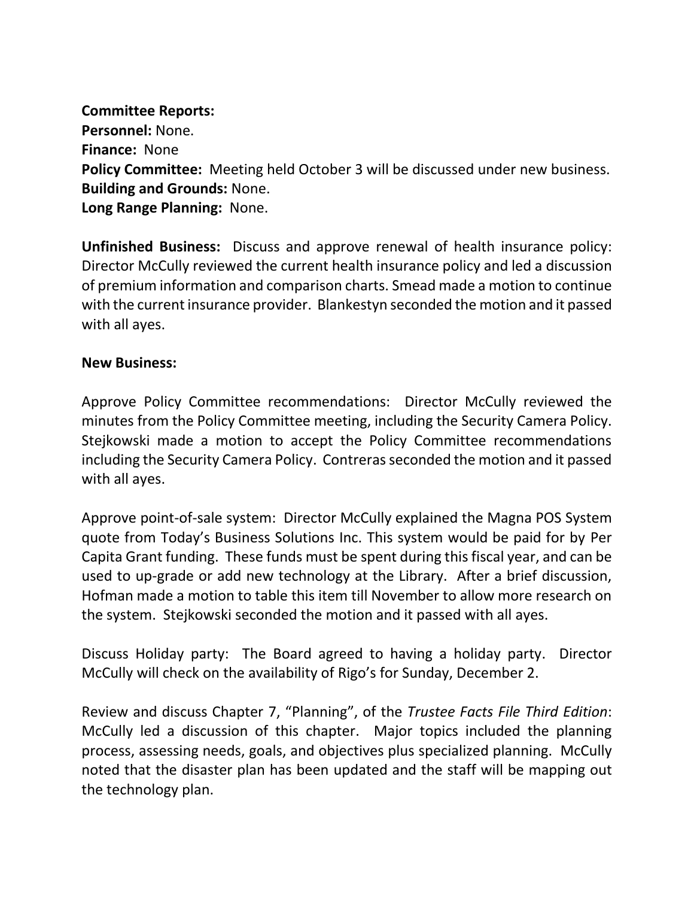## **Committee Reports:**

**Personnel:** None. **Finance:** None **Policy Committee:** Meeting held October 3 will be discussed under new business. **Building and Grounds:** None. **Long Range Planning:** None.

**Unfinished Business:** Discuss and approve renewal of health insurance policy: Director McCully reviewed the current health insurance policy and led a discussion of premium information and comparison charts. Smead made a motion to continue with the current insurance provider. Blankestyn seconded the motion and it passed with all ayes.

## **New Business:**

Approve Policy Committee recommendations: Director McCully reviewed the minutes from the Policy Committee meeting, including the Security Camera Policy. Stejkowski made a motion to accept the Policy Committee recommendations including the Security Camera Policy. Contreras seconded the motion and it passed with all ayes.

Approve point-of-sale system: Director McCully explained the Magna POS System quote from Today's Business Solutions Inc. This system would be paid for by Per Capita Grant funding. These funds must be spent during this fiscal year, and can be used to up-grade or add new technology at the Library. After a brief discussion, Hofman made a motion to table this item till November to allow more research on the system. Stejkowski seconded the motion and it passed with all ayes.

Discuss Holiday party: The Board agreed to having a holiday party. Director McCully will check on the availability of Rigo's for Sunday, December 2.

Review and discuss Chapter 7, "Planning", of the *Trustee Facts File Third Edition*: McCully led a discussion of this chapter. Major topics included the planning process, assessing needs, goals, and objectives plus specialized planning. McCully noted that the disaster plan has been updated and the staff will be mapping out the technology plan.